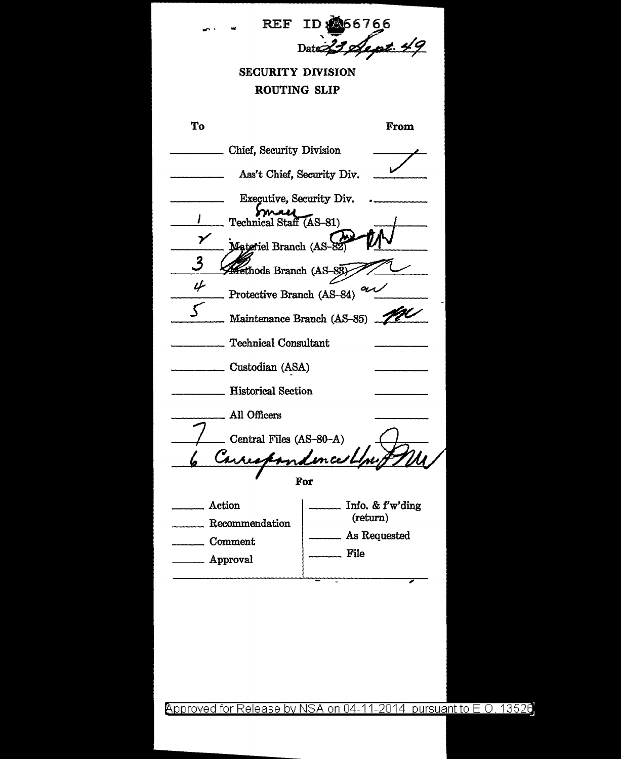

Approved for Release by NSA on 04-11-2014 pursuant to E.O. 13526